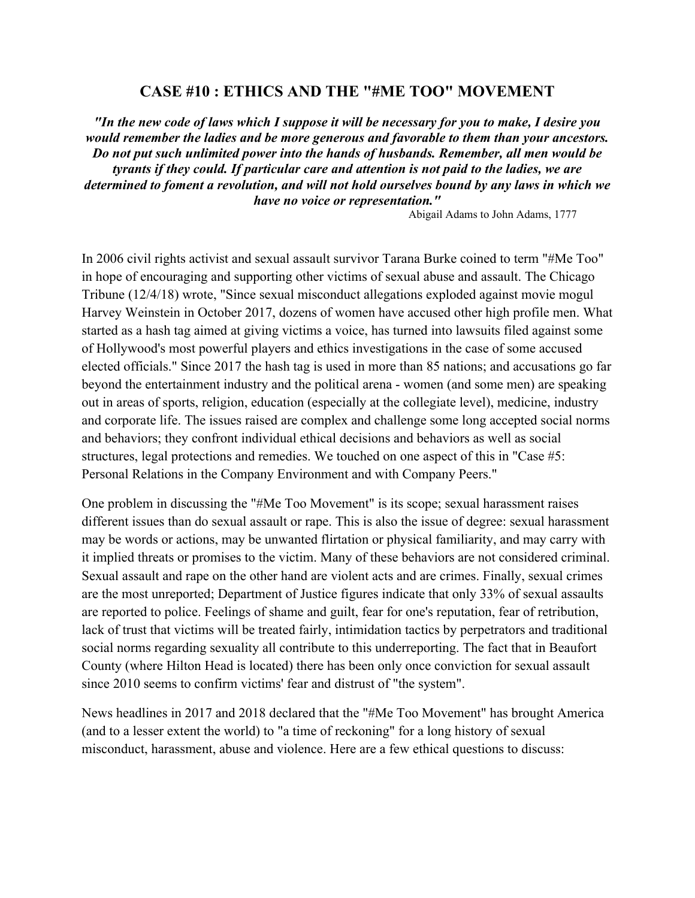## **CASE #10 : ETHICS AND THE "#ME TOO" MOVEMENT**

*"In the new code of laws which I suppose it will be necessary for you to make, I desire you would remember the ladies and be more generous and favorable to them than your ancestors. Do not put such unlimited power into the hands of husbands. Remember, all men would be tyrants if they could. If particular care and attention is not paid to the ladies, we are determined to foment a revolution, and will not hold ourselves bound by any laws in which we have no voice or representation."*

Abigail Adams to John Adams, 1777

In 2006 civil rights activist and sexual assault survivor Tarana Burke coined to term "#Me Too" in hope of encouraging and supporting other victims of sexual abuse and assault. The Chicago Tribune (12/4/18) wrote, "Since sexual misconduct allegations exploded against movie mogul Harvey Weinstein in October 2017, dozens of women have accused other high profile men. What started as a hash tag aimed at giving victims a voice, has turned into lawsuits filed against some of Hollywood's most powerful players and ethics investigations in the case of some accused elected officials." Since 2017 the hash tag is used in more than 85 nations; and accusations go far beyond the entertainment industry and the political arena - women (and some men) are speaking out in areas of sports, religion, education (especially at the collegiate level), medicine, industry and corporate life. The issues raised are complex and challenge some long accepted social norms and behaviors; they confront individual ethical decisions and behaviors as well as social structures, legal protections and remedies. We touched on one aspect of this in "Case #5: Personal Relations in the Company Environment and with Company Peers."

One problem in discussing the "#Me Too Movement" is its scope; sexual harassment raises different issues than do sexual assault or rape. This is also the issue of degree: sexual harassment may be words or actions, may be unwanted flirtation or physical familiarity, and may carry with it implied threats or promises to the victim. Many of these behaviors are not considered criminal. Sexual assault and rape on the other hand are violent acts and are crimes. Finally, sexual crimes are the most unreported; Department of Justice figures indicate that only 33% of sexual assaults are reported to police. Feelings of shame and guilt, fear for one's reputation, fear of retribution, lack of trust that victims will be treated fairly, intimidation tactics by perpetrators and traditional social norms regarding sexuality all contribute to this underreporting. The fact that in Beaufort County (where Hilton Head is located) there has been only once conviction for sexual assault since 2010 seems to confirm victims' fear and distrust of "the system".

News headlines in 2017 and 2018 declared that the "#Me Too Movement" has brought America (and to a lesser extent the world) to "a time of reckoning" for a long history of sexual misconduct, harassment, abuse and violence. Here are a few ethical questions to discuss: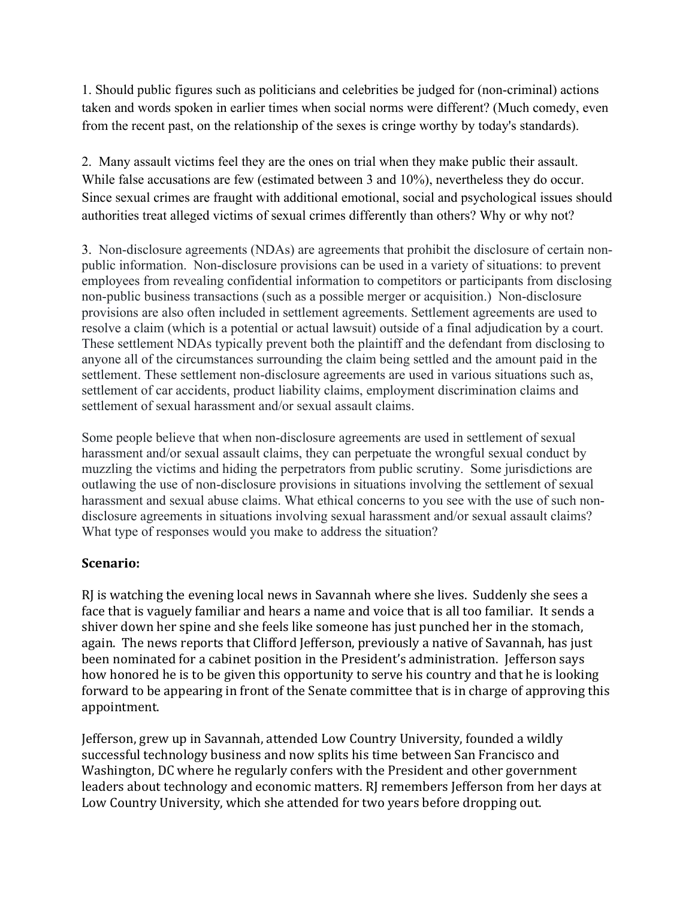1. Should public figures such as politicians and celebrities be judged for (non-criminal) actions taken and words spoken in earlier times when social norms were different? (Much comedy, even from the recent past, on the relationship of the sexes is cringe worthy by today's standards).

2. Many assault victims feel they are the ones on trial when they make public their assault. While false accusations are few (estimated between 3 and 10%), nevertheless they do occur. Since sexual crimes are fraught with additional emotional, social and psychological issues should authorities treat alleged victims of sexual crimes differently than others? Why or why not?

3. Non-disclosure agreements (NDAs) are agreements that prohibit the disclosure of certain nonpublic information. Non-disclosure provisions can be used in a variety of situations: to prevent employees from revealing confidential information to competitors or participants from disclosing non-public business transactions (such as a possible merger or acquisition.) Non-disclosure provisions are also often included in settlement agreements. Settlement agreements are used to resolve a claim (which is a potential or actual lawsuit) outside of a final adjudication by a court. These settlement NDAs typically prevent both the plaintiff and the defendant from disclosing to anyone all of the circumstances surrounding the claim being settled and the amount paid in the settlement. These settlement non-disclosure agreements are used in various situations such as, settlement of car accidents, product liability claims, employment discrimination claims and settlement of sexual harassment and/or sexual assault claims.

Some people believe that when non-disclosure agreements are used in settlement of sexual harassment and/or sexual assault claims, they can perpetuate the wrongful sexual conduct by muzzling the victims and hiding the perpetrators from public scrutiny. Some jurisdictions are outlawing the use of non-disclosure provisions in situations involving the settlement of sexual harassment and sexual abuse claims. What ethical concerns to you see with the use of such nondisclosure agreements in situations involving sexual harassment and/or sexual assault claims? What type of responses would you make to address the situation?

## **Scenario:**

RJ is watching the evening local news in Savannah where she lives. Suddenly she sees a face that is vaguely familiar and hears a name and voice that is all too familiar. It sends a shiver down her spine and she feels like someone has just punched her in the stomach, again. The news reports that Clifford Jefferson, previously a native of Savannah, has just been nominated for a cabinet position in the President's administration. Jefferson says how honored he is to be given this opportunity to serve his country and that he is looking forward to be appearing in front of the Senate committee that is in charge of approving this appointment.

Jefferson, grew up in Savannah, attended Low Country University, founded a wildly successful technology business and now splits his time between San Francisco and Washington, DC where he regularly confers with the President and other government leaders about technology and economic matters. RJ remembers Jefferson from her days at Low Country University, which she attended for two years before dropping out.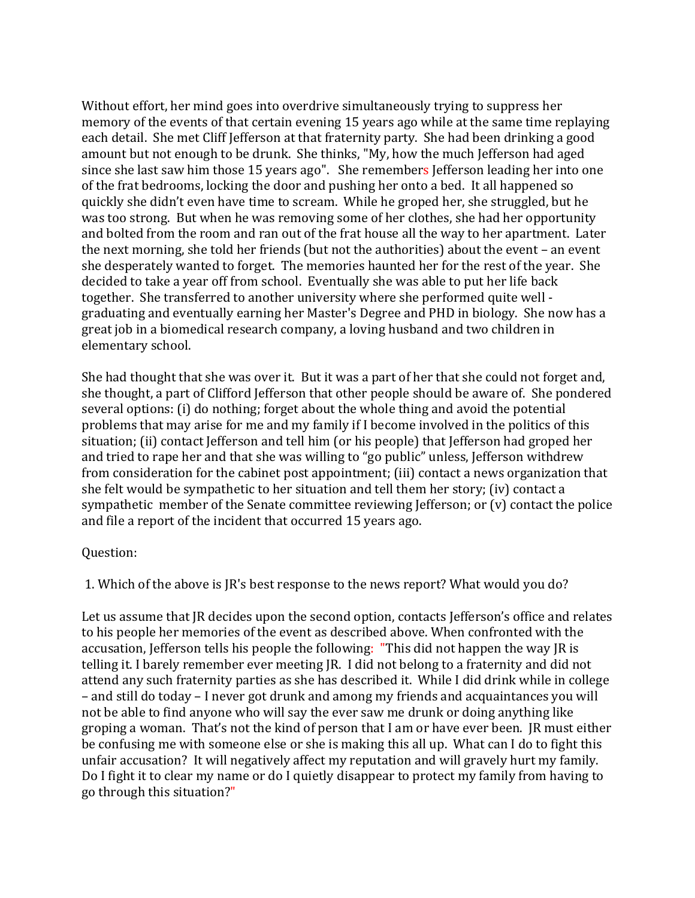Without effort, her mind goes into overdrive simultaneously trying to suppress her memory of the events of that certain evening 15 years ago while at the same time replaying each detail. She met Cliff Jefferson at that fraternity party. She had been drinking a good amount but not enough to be drunk. She thinks, "My, how the much Jefferson had aged since she last saw him those 15 years ago". She remembers Jefferson leading her into one of the frat bedrooms, locking the door and pushing her onto a bed. It all happened so quickly she didn't even have time to scream. While he groped her, she struggled, but he was too strong. But when he was removing some of her clothes, she had her opportunity and bolted from the room and ran out of the frat house all the way to her apartment. Later the next morning, she told her friends (but not the authorities) about the event – an event she desperately wanted to forget. The memories haunted her for the rest of the year. She decided to take a year off from school. Eventually she was able to put her life back together. She transferred to another university where she performed quite well graduating and eventually earning her Master's Degree and PHD in biology. She now has a great job in a biomedical research company, a loving husband and two children in elementary school.

She had thought that she was over it. But it was a part of her that she could not forget and, she thought, a part of Clifford Jefferson that other people should be aware of. She pondered several options: (i) do nothing; forget about the whole thing and avoid the potential problems that may arise for me and my family if I become involved in the politics of this situation; (ii) contact Jefferson and tell him (or his people) that Jefferson had groped her and tried to rape her and that she was willing to "go public" unless, Jefferson withdrew from consideration for the cabinet post appointment; (iii) contact a news organization that she felt would be sympathetic to her situation and tell them her story; (iv) contact a sympathetic member of the Senate committee reviewing Jefferson; or (v) contact the police and file a report of the incident that occurred 15 years ago.

## Question:

1. Which of the above is JR's best response to the news report? What would you do?

Let us assume that JR decides upon the second option, contacts Jefferson's office and relates to his people her memories of the event as described above. When confronted with the accusation, Jefferson tells his people the following: "This did not happen the way JR is telling it. I barely remember ever meeting JR. I did not belong to a fraternity and did not attend any such fraternity parties as she has described it. While I did drink while in college – and still do today – I never got drunk and among my friends and acquaintances you will not be able to find anyone who will say the ever saw me drunk or doing anything like groping a woman. That's not the kind of person that I am or have ever been. JR must either be confusing me with someone else or she is making this all up. What can I do to fight this unfair accusation? It will negatively affect my reputation and will gravely hurt my family. Do I fight it to clear my name or do I quietly disappear to protect my family from having to go through this situation?"